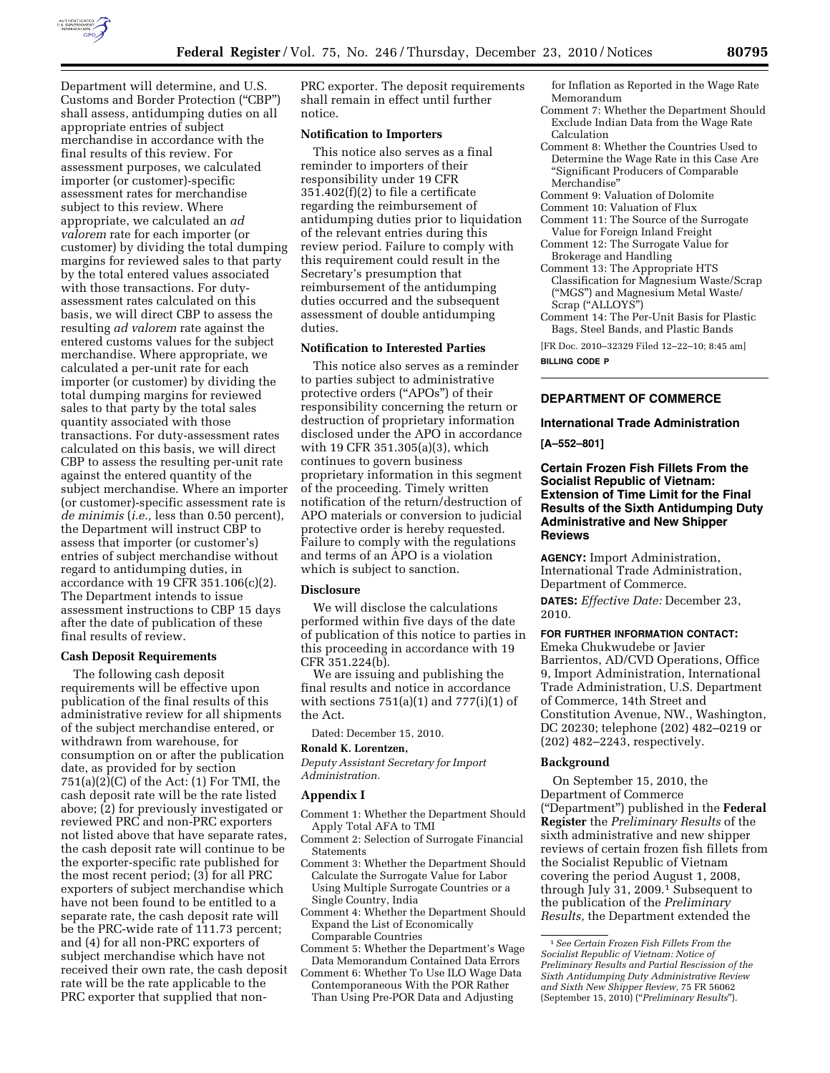

Department will determine, and U.S. Customs and Border Protection (''CBP'') shall assess, antidumping duties on all appropriate entries of subject merchandise in accordance with the final results of this review. For assessment purposes, we calculated importer (or customer)-specific assessment rates for merchandise subject to this review. Where appropriate, we calculated an *ad valorem* rate for each importer (or customer) by dividing the total dumping margins for reviewed sales to that party by the total entered values associated with those transactions. For dutyassessment rates calculated on this basis, we will direct CBP to assess the resulting *ad valorem* rate against the entered customs values for the subject merchandise. Where appropriate, we calculated a per-unit rate for each importer (or customer) by dividing the total dumping margins for reviewed sales to that party by the total sales quantity associated with those transactions. For duty-assessment rates calculated on this basis, we will direct CBP to assess the resulting per-unit rate against the entered quantity of the subject merchandise. Where an importer (or customer)-specific assessment rate is *de minimis* (*i.e.,* less than 0.50 percent), the Department will instruct CBP to assess that importer (or customer's) entries of subject merchandise without regard to antidumping duties, in accordance with 19 CFR 351.106(c)(2). The Department intends to issue assessment instructions to CBP 15 days after the date of publication of these final results of review.

#### **Cash Deposit Requirements**

The following cash deposit requirements will be effective upon publication of the final results of this administrative review for all shipments of the subject merchandise entered, or withdrawn from warehouse, for consumption on or after the publication date, as provided for by section  $751(a)(2)(C)$  of the Act:  $(1)$  For TMI, the cash deposit rate will be the rate listed above; (2) for previously investigated or reviewed PRC and non-PRC exporters not listed above that have separate rates, the cash deposit rate will continue to be the exporter-specific rate published for the most recent period; (3) for all PRC exporters of subject merchandise which have not been found to be entitled to a separate rate, the cash deposit rate will be the PRC-wide rate of 111.73 percent; and (4) for all non-PRC exporters of subject merchandise which have not received their own rate, the cash deposit rate will be the rate applicable to the PRC exporter that supplied that nonPRC exporter. The deposit requirements shall remain in effect until further notice.

### **Notification to Importers**

This notice also serves as a final reminder to importers of their responsibility under 19 CFR  $351.402(f)(2)$  to file a certificate regarding the reimbursement of antidumping duties prior to liquidation of the relevant entries during this review period. Failure to comply with this requirement could result in the Secretary's presumption that reimbursement of the antidumping duties occurred and the subsequent assessment of double antidumping duties.

### **Notification to Interested Parties**

This notice also serves as a reminder to parties subject to administrative protective orders (''APOs'') of their responsibility concerning the return or destruction of proprietary information disclosed under the APO in accordance with 19 CFR 351.305(a)(3), which continues to govern business proprietary information in this segment of the proceeding. Timely written notification of the return/destruction of APO materials or conversion to judicial protective order is hereby requested. Failure to comply with the regulations and terms of an APO is a violation which is subject to sanction.

### **Disclosure**

We will disclose the calculations performed within five days of the date of publication of this notice to parties in this proceeding in accordance with 19 CFR 351.224(b).

We are issuing and publishing the final results and notice in accordance with sections  $751(a)(1)$  and  $777(i)(1)$  of the Act.

Dated: December 15, 2010.

#### **Ronald K. Lorentzen,**

*Deputy Assistant Secretary for Import Administration.* 

#### **Appendix I**

- Comment 1: Whether the Department Should Apply Total AFA to TMI
- Comment 2: Selection of Surrogate Financial **Statements**
- Comment 3: Whether the Department Should Calculate the Surrogate Value for Labor Using Multiple Surrogate Countries or a Single Country, India
- Comment 4: Whether the Department Should Expand the List of Economically Comparable Countries
- Comment 5: Whether the Department's Wage Data Memorandum Contained Data Errors
- Comment 6: Whether To Use ILO Wage Data Contemporaneous With the POR Rather Than Using Pre-POR Data and Adjusting
- for Inflation as Reported in the Wage Rate Memorandum
- Comment 7: Whether the Department Should Exclude Indian Data from the Wage Rate Calculation
- Comment 8: Whether the Countries Used to Determine the Wage Rate in this Case Are ''Significant Producers of Comparable Merchandise''
- Comment 9: Valuation of Dolomite
- Comment 10: Valuation of Flux
- Comment 11: The Source of the Surrogate Value for Foreign Inland Freight
- Comment 12: The Surrogate Value for Brokerage and Handling
- Comment 13: The Appropriate HTS Classification for Magnesium Waste/Scrap (''MGS'') and Magnesium Metal Waste/ Scrap (''ALLOYS'')
- Comment 14: The Per-Unit Basis for Plastic Bags, Steel Bands, and Plastic Bands
- [FR Doc. 2010–32329 Filed 12–22–10; 8:45 am]

**BILLING CODE P** 

## **DEPARTMENT OF COMMERCE**

**International Trade Administration** 

**[A–552–801]** 

**Certain Frozen Fish Fillets From the Socialist Republic of Vietnam: Extension of Time Limit for the Final Results of the Sixth Antidumping Duty Administrative and New Shipper Reviews** 

**AGENCY:** Import Administration, International Trade Administration, Department of Commerce.

**DATES:** *Effective Date:* December 23, 2010.

## **FOR FURTHER INFORMATION CONTACT:**

Emeka Chukwudebe or Javier Barrientos, AD/CVD Operations, Office 9, Import Administration, International Trade Administration, U.S. Department of Commerce, 14th Street and Constitution Avenue, NW., Washington, DC 20230; telephone (202) 482–0219 or (202) 482–2243, respectively.

### **Background**

On September 15, 2010, the Department of Commerce (''Department'') published in the **Federal Register** the *Preliminary Results* of the sixth administrative and new shipper reviews of certain frozen fish fillets from the Socialist Republic of Vietnam covering the period August 1, 2008, through July 31, 2009.1 Subsequent to the publication of the *Preliminary Results,* the Department extended the

<sup>1</sup>*See Certain Frozen Fish Fillets From the Socialist Republic of Vietnam: Notice of Preliminary Results and Partial Rescission of the Sixth Antidumping Duty Administrative Review and Sixth New Shipper Review,* 75 FR 56062 (September 15, 2010) (''*Preliminary Results*'').